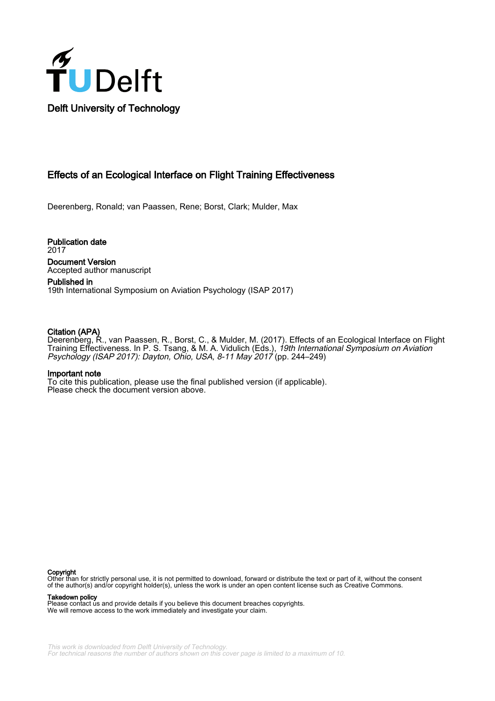

# Effects of an Ecological Interface on Flight Training Effectiveness

Deerenberg, Ronald; van Paassen, Rene; Borst, Clark; Mulder, Max

Publication date 2017 Document Version Accepted author manuscript

Published in 19th International Symposium on Aviation Psychology (ISAP 2017)

# Citation (APA)

Deerenberg, R., van Paassen, R., Borst, C., & Mulder, M. (2017). Effects of an Ecological Interface on Flight Training Effectiveness. In P. S. Tsang, & M. A. Vidulich (Eds.), *19th International Symposium on Aviation* Psychology (ISAP 2017): Dayton, Ohio, USA, 8-11 May 2017 (pp. 244–249)

#### Important note

To cite this publication, please use the final published version (if applicable). Please check the document version above.

#### Copyright

Other than for strictly personal use, it is not permitted to download, forward or distribute the text or part of it, without the consent of the author(s) and/or copyright holder(s), unless the work is under an open content license such as Creative Commons.

Takedown policy

Please contact us and provide details if you believe this document breaches copyrights. We will remove access to the work immediately and investigate your claim.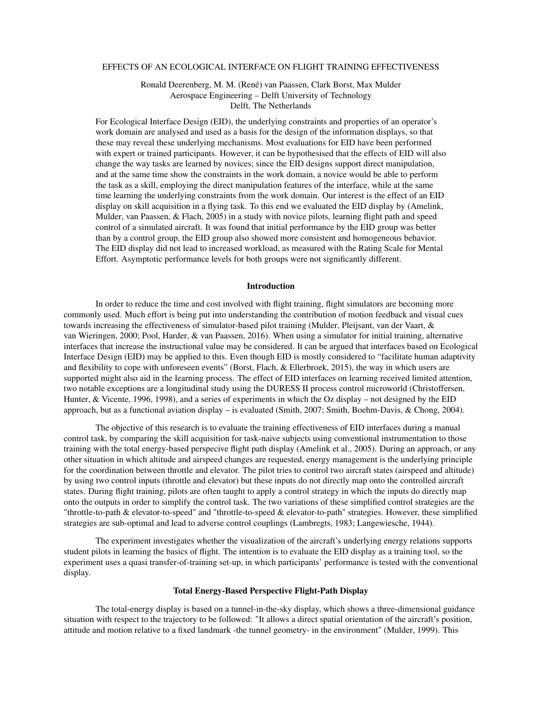#### EFFECTS OF AN ECOLOGICAL INTERFACE ON FLIGHT TRAINING EFFECTIVENESS

Ronald Deerenberg, M. M. (René) van Paassen, Clark Borst, Max Mulder Aerospace Engineering – Delft University of Technology Delft, The Netherlands

For Ecological Interface Design (EID), the underlying constraints and properties of an operator's work domain are analysed and used as a basis for the design of the information displays, so that these may reveal these underlying mechanisms. Most evaluations for EID have been performed with expert or trained participants. However, it can be hypothesised that the effects of EID will also change the way tasks are learned by novices; since the EID designs support direct manipulation, and at the same time show the constraints in the work domain, a novice would be able to perform the task as a skill, employing the direct manipulation features of the interface, while at the same time learning the underlying constraints from the work domain. Our interest is the effect of an EID display on skill acquisition in a flying task. To this end we evaluated the EID display by (Amelink, Mulder, van Paassen, & Flach, [2005\)](#page-6-0) in a study with novice pilots, learning flight path and speed control of a simulated aircraft. It was found that initial performance by the EID group was better than by a control group, the EID group also showed more consistent and homogeneous behavior. The EID display did not lead to increased workload, as measured with the Rating Scale for Mental Effort. Asymptotic performance levels for both groups were not significantly different.

#### **Introduction**

In order to reduce the time and cost involved with flight training, flight simulators are becoming more commonly used. Much effort is being put into understanding the contribution of motion feedback and visual cues towards increasing the effectiveness of simulator-based pilot training (Mulder, Pleijsant, van der Vaart, & van Wieringen, [2000](#page-6-1); Pool, Harder, & van Paassen, [2016\)](#page-6-2). When using a simulator for initial training, alternative interfaces that increase the instructional value may be considered. It can be argued that interfaces based on Ecological Interface Design (EID) may be applied to this. Even though EID is mostly considered to "facilitate human adaptivity and flexibility to cope with unforeseen events" (Borst, Flach, & Ellerbroek, [2015](#page-6-3)), the way in which users are supported might also aid in the learning process. The effect of EID interfaces on learning received limited attention, two notable exceptions are a longitudinal study using the DURESS II process control microworld (Christoffersen, Hunter, & Vicente, [1996](#page-6-4), [1998](#page-6-5)), and a series of experiments in which the Oz display – not designed by the EID approach, but as a functional aviation display – is evaluated (Smith, [2007;](#page-6-6) Smith, Boehm-Davis, & Chong, [2004](#page-6-7)).

The objective of this research is to evaluate the training effectiveness of EID interfaces during a manual control task, by comparing the skill acquisition for task-naive subjects using conventional instrumentation to those training with the total energy-based perspecive flight path display (Amelink et al., [2005](#page-6-0)). During an approach, or any other situation in which altitude and airspeed changes are requested, energy management is the underlying principle for the coordination between throttle and elevator. The pilot tries to control two aircraft states (airspeed and altitude) by using two control inputs (throttle and elevator) but these inputs do not directly map onto the controlled aircraft states. During flight training, pilots are often taught to apply a control strategy in which the inputs do directly map onto the outputs in order to simplify the control task. The two variations of these simplified control strategies are the "throttle-to-path & elevator-to-speed" and "throttle-to-speed & elevator-to-path" strategies. However, these simplified strategies are sub-optimal and lead to adverse control couplings (Lambregts, [1983](#page-6-8); Langewiesche, [1944](#page-6-9)).

The experiment investigates whether the visualization of the aircraft's underlying energy relations supports student pilots in learning the basics of flight. The intention is to evaluate the EID display as a training tool, so the experiment uses a quasi transfer-of-training set-up, in which participants' performance is tested with the conventional display.

# Total Energy-Based Perspective Flight-Path Display

The total-energy display is based on a tunnel-in-the-sky display, which shows a three-dimensional guidance situation with respect to the trajectory to be followed: "It allows a direct spatial orientation of the aircraft's position, attitude and motion relative to a fixed landmark -the tunnel geometry- in the environment" (Mulder, [1999](#page-6-10)). This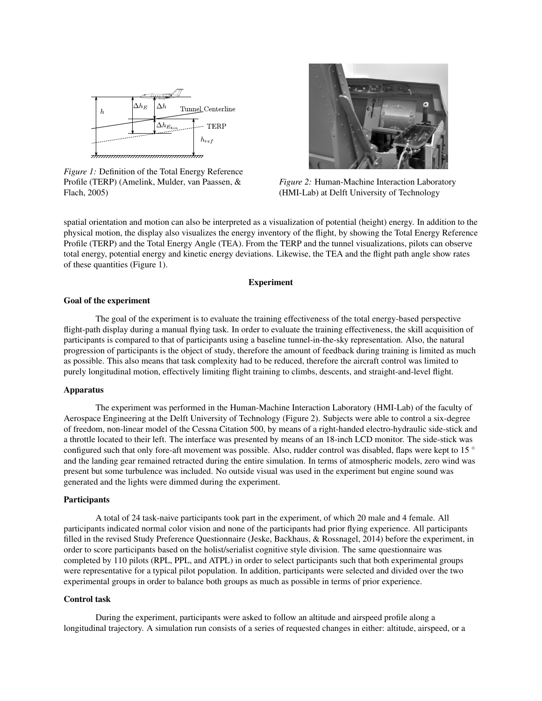<span id="page-2-0"></span>

*Figure 1:* Definition of the Total Energy Reference Profile (TERP) (Amelink, Mulder, van Paassen, & Flach, [2005](#page-6-0))



*Figure 2:* Human-Machine Interaction Laboratory (HMI-Lab) at Delft University of Technology

spatial orientation and motion can also be interpreted as a visualization of potential (height) energy. In addition to the physical motion, the display also visualizes the energy inventory of the flight, by showing the Total Energy Reference Profile (TERP) and the Total Energy Angle (TEA). From the TERP and the tunnel visualizations, pilots can observe total energy, potential energy and kinetic energy deviations. Likewise, the TEA and the flight path angle show rates of these quantities (Figure [1\)](#page-2-0).

# Experiment

#### Goal of the experiment

The goal of the experiment is to evaluate the training effectiveness of the total energy-based perspective flight-path display during a manual flying task. In order to evaluate the training effectiveness, the skill acquisition of participants is compared to that of participants using a baseline tunnel-in-the-sky representation. Also, the natural progression of participants is the object of study, therefore the amount of feedback during training is limited as much as possible. This also means that task complexity had to be reduced, therefore the aircraft control was limited to purely longitudinal motion, effectively limiting flight training to climbs, descents, and straight-and-level flight.

#### Apparatus

The experiment was performed in the Human-Machine Interaction Laboratory (HMI-Lab) of the faculty of Aerospace Engineering at the Delft University of Technology (Figure [2](#page-2-0)). Subjects were able to control a six-degree of freedom, non-linear model of the Cessna Citation 500, by means of a right-handed electro-hydraulic side-stick and a throttle located to their left. The interface was presented by means of an 18-inch LCD monitor. The side-stick was configured such that only fore-aft movement was possible. Also, rudder control was disabled, flaps were kept to 15 *◦* and the landing gear remained retracted during the entire simulation. In terms of atmospheric models, zero wind was present but some turbulence was included. No outside visual was used in the experiment but engine sound was generated and the lights were dimmed during the experiment.

#### **Participants**

A total of 24 task-naive participants took part in the experiment, of which 20 male and 4 female. All participants indicated normal color vision and none of the participants had prior flying experience. All participants filled in the revised Study Preference Questionnaire (Jeske, Backhaus, & Rossnagel, [2014\)](#page-6-11) before the experiment, in order to score participants based on the holist/serialist cognitive style division. The same questionnaire was completed by 110 pilots (RPL, PPL, and ATPL) in order to select participants such that both experimental groups were representative for a typical pilot population. In addition, participants were selected and divided over the two experimental groups in order to balance both groups as much as possible in terms of prior experience.

# Control task

During the experiment, participants were asked to follow an altitude and airspeed profile along a longitudinal trajectory. A simulation run consists of a series of requested changes in either: altitude, airspeed, or a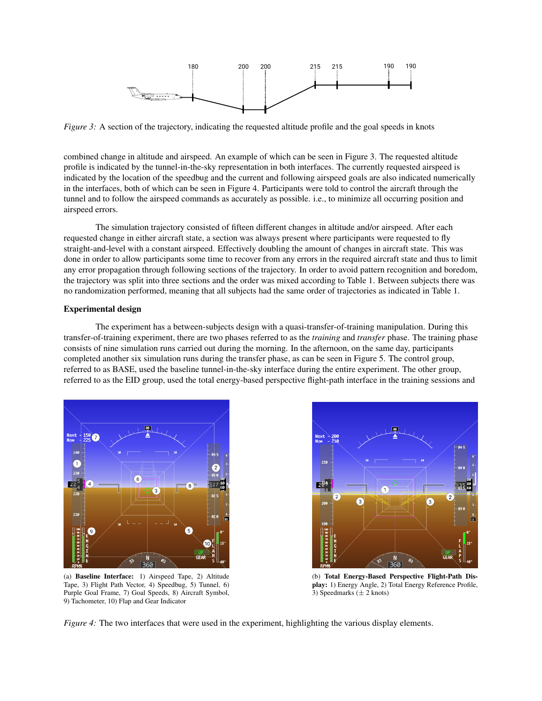<span id="page-3-0"></span>

*Figure 3:* A section of the trajectory, indicating the requested altitude profile and the goal speeds in knots

combined change in altitude and airspeed. An example of which can be seen in Figure [3](#page-3-0). The requested altitude profile is indicated by the tunnel-in-the-sky representation in both interfaces. The currently requested airspeed is indicated by the location of the speedbug and the current and following airspeed goals are also indicated numerically in the interfaces, both of which can be seen in Figure [4](#page-3-1). Participants were told to control the aircraft through the tunnel and to follow the airspeed commands as accurately as possible. i.e., to minimize all occurring position and airspeed errors.

The simulation trajectory consisted of fifteen different changes in altitude and/or airspeed. After each requested change in either aircraft state, a section was always present where participants were requested to fly straight-and-level with a constant airspeed. Effectively doubling the amount of changes in aircraft state. This was done in order to allow participants some time to recover from any errors in the required aircraft state and thus to limit any error propagation through following sections of the trajectory. In order to avoid pattern recognition and boredom, the trajectory was split into three sections and the order was mixed according to Table [1](#page-4-0). Between subjects there was no randomization performed, meaning that all subjects had the same order of trajectories as indicated in Table [1](#page-4-0).

#### Experimental design

The experiment has a between-subjects design with a quasi-transfer-of-training manipulation. During this transfer-of-training experiment, there are two phases referred to as the *training* and *transfer* phase. The training phase consists of nine simulation runs carried out during the morning. In the afternoon, on the same day, participants completed another six simulation runs during the transfer phase, as can be seen in Figure [5](#page-4-0). The control group, referred to as BASE, used the baseline tunnel-in-the-sky interface during the entire experiment. The other group, referred to as the EID group, used the total energy-based perspective flight-path interface in the training sessions and

<span id="page-3-1"></span>

(a) Baseline Interface: 1) Airspeed Tape, 2) Altitude Tape, 3) Flight Path Vector, 4) Speedbug, 5) Tunnel, 6) Purple Goal Frame, 7) Goal Speeds, 8) Aircraft Symbol, 9) Tachometer, 10) Flap and Gear Indicator



(b) Total Energy-Based Perspective Flight-Path Display: 1) Energy Angle, 2) Total Energy Reference Profile, 3) Speedmarks (*±* 2 knots)

*Figure 4:* The two interfaces that were used in the experiment, highlighting the various display elements.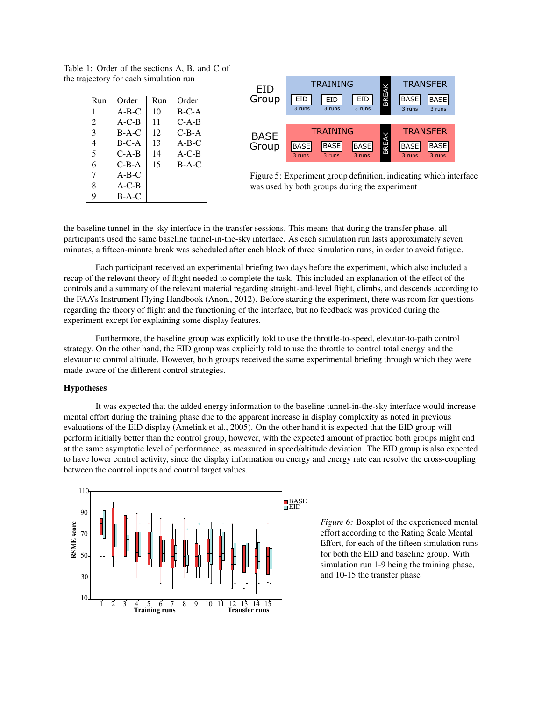| $_{\rm{Run}}$ | Order    | Run | Order     |
|---------------|----------|-----|-----------|
| 1             | $A-B-C$  | 10  | $B-C-A$   |
| 2             | $A-C-B$  | 11  | $C-A-B$   |
| 3             | $B-A-C$  | 12  | $C-B-A$   |
| 4             | $B-C-A$  | 13  | $A- B- C$ |
| 5             | $C-A-B$  | 14  | $A-C-B$   |
| 6             | $C$ -B-A | 15  | $B-A-C$   |
| 7             | $A-B-C$  |     |           |
| 8             | $A-C-B$  |     |           |
| 9             | $B-A-C$  |     |           |

<span id="page-4-0"></span>Table 1: Order of the sections A, B, and C of

the trajectory for each simulation run



Figure 5: Experiment group definition, indicating which interface was used by both groups during the experiment

the baseline tunnel-in-the-sky interface in the transfer sessions. This means that during the transfer phase, all participants used the same baseline tunnel-in-the-sky interface. As each simulation run lasts approximately seven minutes, a fifteen-minute break was scheduled after each block of three simulation runs, in order to avoid fatigue.

Each participant received an experimental briefing two days before the experiment, which also included a recap of the relevant theory of flight needed to complete the task. This included an explanation of the effect of the controls and a summary of the relevant material regarding straight-and-level flight, climbs, and descends according to the FAA's Instrument Flying Handbook (Anon., [2012\)](#page-6-12). Before starting the experiment, there was room for questions regarding the theory of flight and the functioning of the interface, but no feedback was provided during the experiment except for explaining some display features.

Furthermore, the baseline group was explicitly told to use the throttle-to-speed, elevator-to-path control strategy. On the other hand, the EID group was explicitly told to use the throttle to control total energy and the elevator to control altitude. However, both groups received the same experimental briefing through which they were made aware of the different control strategies.

#### Hypotheses

It was expected that the added energy information to the baseline tunnel-in-the-sky interface would increase mental effort during the training phase due to the apparent increase in display complexity as noted in previous evaluations of the EID display (Amelink et al., [2005](#page-6-0)). On the other hand it is expected that the EID group will perform initially better than the control group, however, with the expected amount of practice both groups might end at the same asymptotic level of performance, as measured in speed/altitude deviation. The EID group is also expected to have lower control activity, since the display information on energy and energy rate can resolve the cross-coupling between the control inputs and control target values.

<span id="page-4-1"></span>

*Figure 6:* Boxplot of the experienced mental effort according to the Rating Scale Mental Effort, for each of the fifteen simulation runs for both the EID and baseline group. With simulation run 1-9 being the training phase, and 10-15 the transfer phase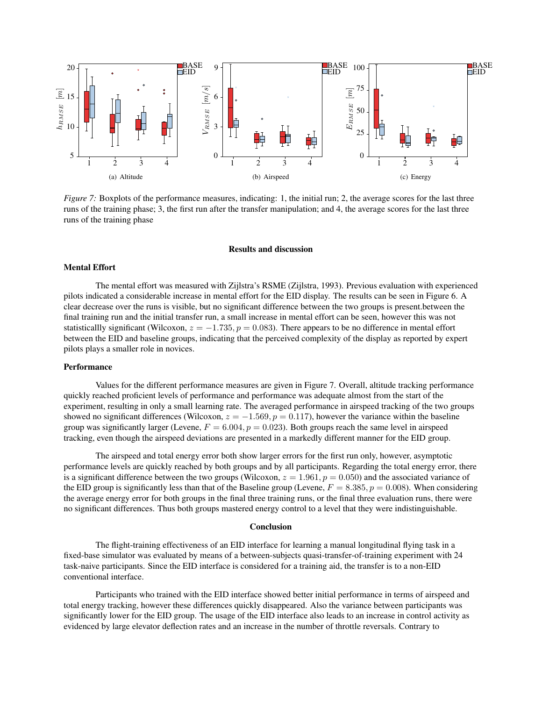<span id="page-5-0"></span>

*Figure 7:* Boxplots of the performance measures, indicating: 1, the initial run; 2, the average scores for the last three runs of the training phase; 3, the first run after the transfer manipulation; and 4, the average scores for the last three runs of the training phase

#### Results and discussion

# Mental Effort

The mental effort was measured with Zijlstra's RSME (Zijlstra, [1993\)](#page-6-13). Previous evaluation with experienced pilots indicated a considerable increase in mental effort for the EID display. The results can be seen in Figure [6.](#page-4-1) A clear decrease over the runs is visible, but no significant difference between the two groups is present.between the final training run and the initial transfer run, a small increase in mental effort can be seen, however this was not statisticallly significant (Wilcoxon,  $z = -1.735$ ,  $p = 0.083$ ). There appears to be no difference in mental effort between the EID and baseline groups, indicating that the perceived complexity of the display as reported by expert pilots plays a smaller role in novices.

#### **Performance**

Values for the different performance measures are given in Figure [7](#page-5-0). Overall, altitude tracking performance quickly reached proficient levels of performance and performance was adequate almost from the start of the experiment, resulting in only a small learning rate. The averaged performance in airspeed tracking of the two groups showed no significant differences (Wilcoxon,  $z = -1.569$ ,  $p = 0.117$ ), however the variance within the baseline group was significantly larger (Levene,  $F = 6.004$ ,  $p = 0.023$ ). Both groups reach the same level in airspeed tracking, even though the airspeed deviations are presented in a markedly different manner for the EID group.

The airspeed and total energy error both show larger errors for the first run only, however, asymptotic performance levels are quickly reached by both groups and by all participants. Regarding the total energy error, there is a significant difference between the two groups (Wilcoxon,  $z = 1.961$ ,  $p = 0.050$ ) and the associated variance of the EID group is significantly less than that of the Baseline group (Levene,  $F = 8.385, p = 0.008$ ). When considering the average energy error for both groups in the final three training runs, or the final three evaluation runs, there were no significant differences. Thus both groups mastered energy control to a level that they were indistinguishable.

#### Conclusion

The flight-training effectiveness of an EID interface for learning a manual longitudinal flying task in a fixed-base simulator was evaluated by means of a between-subjects quasi-transfer-of-training experiment with 24 task-naive participants. Since the EID interface is considered for a training aid, the transfer is to a non-EID conventional interface.

Participants who trained with the EID interface showed better initial performance in terms of airspeed and total energy tracking, however these differences quickly disappeared. Also the variance between participants was significantly lower for the EID group. The usage of the EID interface also leads to an increase in control activity as evidenced by large elevator deflection rates and an increase in the number of throttle reversals. Contrary to